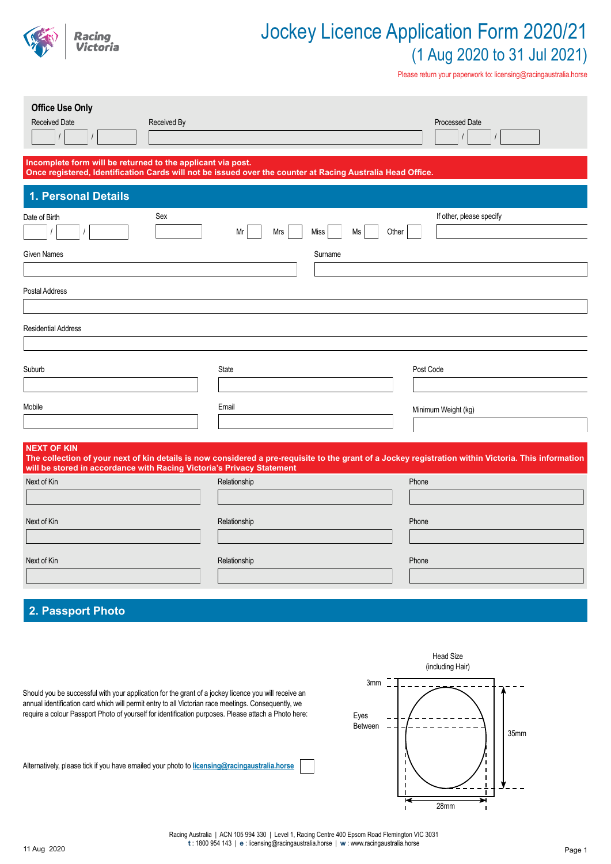

Please return your paperwork to: licensing@racingaustralia.horse

| <b>Office Use Only</b><br>Received Date<br>Received By                |                                                                                                            | Processed Date                                                                                                                                       |
|-----------------------------------------------------------------------|------------------------------------------------------------------------------------------------------------|------------------------------------------------------------------------------------------------------------------------------------------------------|
| Incomplete form will be returned to the applicant via post.           | Once registered, Identification Cards will not be issued over the counter at Racing Australia Head Office. |                                                                                                                                                      |
| 1. Personal Details                                                   |                                                                                                            |                                                                                                                                                      |
| Sex<br>Date of Birth                                                  | Mrs<br>Mr<br>Miss<br>Ms                                                                                    | If other, please specify<br>Other                                                                                                                    |
| <b>Given Names</b>                                                    | Surname                                                                                                    |                                                                                                                                                      |
|                                                                       |                                                                                                            |                                                                                                                                                      |
| Postal Address                                                        |                                                                                                            |                                                                                                                                                      |
|                                                                       |                                                                                                            |                                                                                                                                                      |
| <b>Residential Address</b>                                            |                                                                                                            |                                                                                                                                                      |
|                                                                       |                                                                                                            |                                                                                                                                                      |
| Suburb                                                                | State                                                                                                      | Post Code                                                                                                                                            |
|                                                                       |                                                                                                            |                                                                                                                                                      |
| Mobile                                                                | Email                                                                                                      | Minimum Weight (kg)                                                                                                                                  |
|                                                                       |                                                                                                            |                                                                                                                                                      |
| <b>NEXT OF KIN</b>                                                    |                                                                                                            |                                                                                                                                                      |
| will be stored in accordance with Racing Victoria's Privacy Statement |                                                                                                            | The collection of your next of kin details is now considered a pre-requisite to the grant of a Jockey registration within Victoria. This information |
| Next of Kin                                                           | Relationship                                                                                               | Phone                                                                                                                                                |
|                                                                       |                                                                                                            |                                                                                                                                                      |
| Next of Kin                                                           | Relationship                                                                                               | Phone                                                                                                                                                |
|                                                                       |                                                                                                            |                                                                                                                                                      |
| Next of Kin                                                           | Relationship                                                                                               | Phone                                                                                                                                                |
|                                                                       |                                                                                                            |                                                                                                                                                      |
|                                                                       |                                                                                                            |                                                                                                                                                      |

# **2. Passport Photo**



Should you be successful with your application for the grant of a jockey licence you will receive an annual identification card which will permit entry to all Victorian race meetings. Consequently, we require a colour Passport Photo of yourself for identification purposes. Please attach a Photo here:

Alternatively, please tick if you have emailed your photo to **licensing@racingaustralia.horse**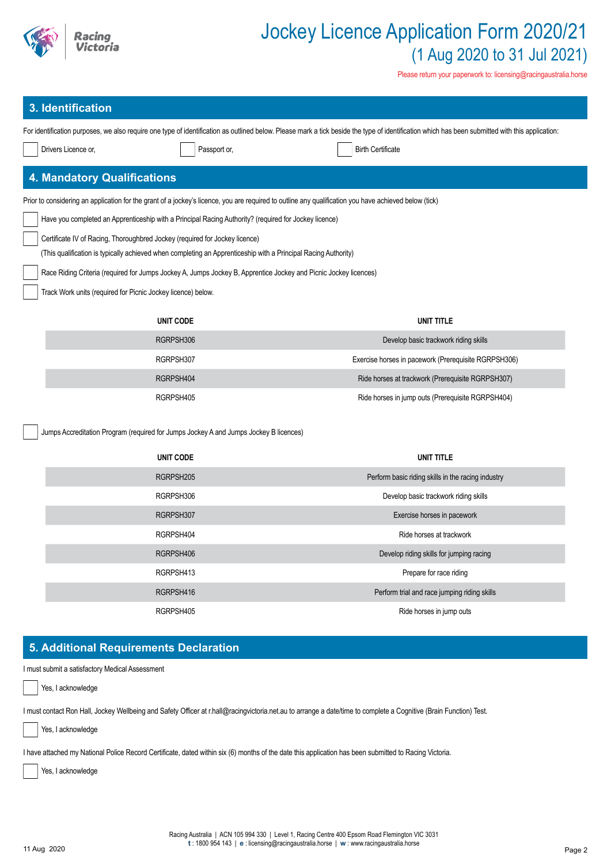

Please return your paperwork to: licensing@racingaustralia.horse

# **3. Identification**

| 3. Identification                  |                                                                                                                                                       | For identification purposes, we also require one type of identification as outlined below. Please mark a tick beside the type of identification which has been submitted with this application: |
|------------------------------------|-------------------------------------------------------------------------------------------------------------------------------------------------------|-------------------------------------------------------------------------------------------------------------------------------------------------------------------------------------------------|
|                                    |                                                                                                                                                       | <b>Birth Certificate</b>                                                                                                                                                                        |
| Drivers Licence or,                | Passport or,                                                                                                                                          |                                                                                                                                                                                                 |
| <b>4. Mandatory Qualifications</b> |                                                                                                                                                       |                                                                                                                                                                                                 |
|                                    | Prior to considering an application for the grant of a jockey's licence, you are required to outline any qualification you have achieved below (tick) |                                                                                                                                                                                                 |
|                                    | Have you completed an Apprenticeship with a Principal Racing Authority? (required for Jockey licence)                                                 |                                                                                                                                                                                                 |
|                                    | Certificate IV of Racing, Thoroughbred Jockey (required for Jockey licence)                                                                           |                                                                                                                                                                                                 |
|                                    | (This qualification is typically achieved when completing an Apprenticeship with a Principal Racing Authority)                                        |                                                                                                                                                                                                 |
|                                    | Race Riding Criteria (required for Jumps Jockey A, Jumps Jockey B, Apprentice Jockey and Picnic Jockey licences)                                      |                                                                                                                                                                                                 |
|                                    | Track Work units (required for Picnic Jockey licence) below.                                                                                          |                                                                                                                                                                                                 |
|                                    | <b>UNIT CODE</b>                                                                                                                                      | <b>UNIT TITLE</b>                                                                                                                                                                               |
|                                    | RGRPSH306                                                                                                                                             | Develop basic trackwork riding skills                                                                                                                                                           |
|                                    | RGRPSH307                                                                                                                                             | Exercise horses in pacework (Prerequisite RGRPSH306)                                                                                                                                            |
|                                    | RGRPSH404                                                                                                                                             | Ride horses at trackwork (Prerequisite RGRPSH307)                                                                                                                                               |
|                                    | RGRPSH405                                                                                                                                             | Ride horses in jump outs (Prerequisite RGRPSH404)                                                                                                                                               |
|                                    | Jumps Accreditation Program (required for Jumps Jockey A and Jumps Jockey B licences)                                                                 |                                                                                                                                                                                                 |
|                                    |                                                                                                                                                       |                                                                                                                                                                                                 |
|                                    | <b>UNIT CODE</b>                                                                                                                                      | <b>UNIT TITLE</b>                                                                                                                                                                               |
|                                    | RGRPSH205                                                                                                                                             | Perform basic riding skills in the racing industry                                                                                                                                              |
|                                    | RGRPSH306                                                                                                                                             | Develop basic trackwork riding skills                                                                                                                                                           |
|                                    |                                                                                                                                                       |                                                                                                                                                                                                 |
|                                    | RGRPSH307                                                                                                                                             | Exercise horses in pacework                                                                                                                                                                     |
|                                    | RGRPSH404                                                                                                                                             | Ride horses at trackwork                                                                                                                                                                        |
|                                    | RGRPSH406                                                                                                                                             | Develop riding skills for jumping racing                                                                                                                                                        |
|                                    | RGRPSH413                                                                                                                                             | Prepare for race riding                                                                                                                                                                         |
|                                    | RGRPSH416                                                                                                                                             | Perform trial and race jumping riding skills                                                                                                                                                    |

I must submit a satisfactory Medical Assessment

Yes, I acknowledge

I must contact Ron Hall, Jockey Wellbeing and Safety Officer at r.hall@racingvictoria.net.au to arrange a date/time to complete a Cognitive (Brain Function) Test.

Yes, I acknowledge

I have attached my National Police Record Certificate, dated within six (6) months of the date this application has been submitted to Racing Victoria.

Yes, I acknowledge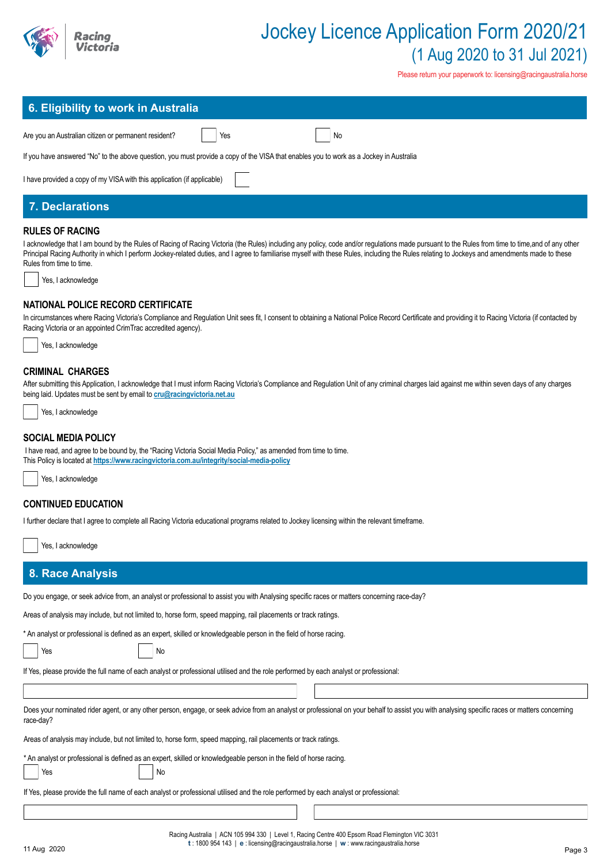

Please return your paperwork to: licensing@racingaustralia.horse

| 6. Eligibility to work in Australia                                                                                                    |  |  |  |
|----------------------------------------------------------------------------------------------------------------------------------------|--|--|--|
| Are you an Australian citizen or permanent resident?<br>Yes<br>No                                                                      |  |  |  |
| If you have answered "No" to the above question, you must provide a copy of the VISA that enables you to work as a Jockey in Australia |  |  |  |
| I have provided a copy of my VISA with this application (if applicable)                                                                |  |  |  |
| <b>7. Declarations</b>                                                                                                                 |  |  |  |

# **RULES OF RACING**

I acknowledge that I am bound by the Rules of Racing of Racing Victoria (the Rules) including any policy, code and/or regulations made pursuant to the Rules from time to time,and of any other Principal Racing Authority in which I perform Jockey-related duties, and I agree to familiarise myself with these Rules, including the Rules relating to Jockeys and amendments made to these Rules from time to time.

Yes, Lacknowledge

# **NATIONAL POLICE RECORD CERTIFICATE**

In circumstances where Racing Victoria's Compliance and Regulation Unit sees fit, I consent to obtaining a National Police Record Certificate and providing it to Racing Victoria (if contacted by Racing Victoria or an appointed CrimTrac accredited agency).

| Yes, I acknowledge |
|--------------------|
|--------------------|

# **CRIMINAL CHARGES**

After submitting this Application, I acknowledge that I must inform Racing Victoria's Compliance and Regulation Unit of any criminal charges laid against me within seven days of any charges being laid. Updates must be sent by email to **cru@racingvictoria.net.au**

Yes, I acknowledge

# **SOCIAL MEDIA POLICY**

 I have read, and agree to be bound by, the "Racing Victoria Social Media Policy," as amended from time to time. This Policy is located at **https://www.racingvictoria.com.au/integrity/social-media-policy**



# **CONTINUED EDUCATION**

I further declare that I agree to complete all Racing Victoria educational programs related to Jockey licensing within the relevant timeframe.

Yes, I acknowledge

# **8. Race Analysis**

Yes No

Do you engage, or seek advice from, an analyst or professional to assist you with Analysing specific races or matters concerning race-day?

Areas of analysis may include, but not limited to, horse form, speed mapping, rail placements or track ratings.

\* An analyst or professional is defined as an expert, skilled or knowledgeable person in the field of horse racing.

Yes No

If Yes, please provide the full name of each analyst or professional utilised and the role performed by each analyst or professional:

Does your nominated rider agent, or any other person, engage, or seek advice from an analyst or professional on your behalf to assist you with analysing specific races or matters concerning race-day?

Areas of analysis may include, but not limited to, horse form, speed mapping, rail placements or track ratings.

\* An analyst or professional is defined as an expert, skilled or knowledgeable person in the field of horse racing.

If Yes, please provide the full name of each analyst or professional utilised and the role performed by each analyst or professional: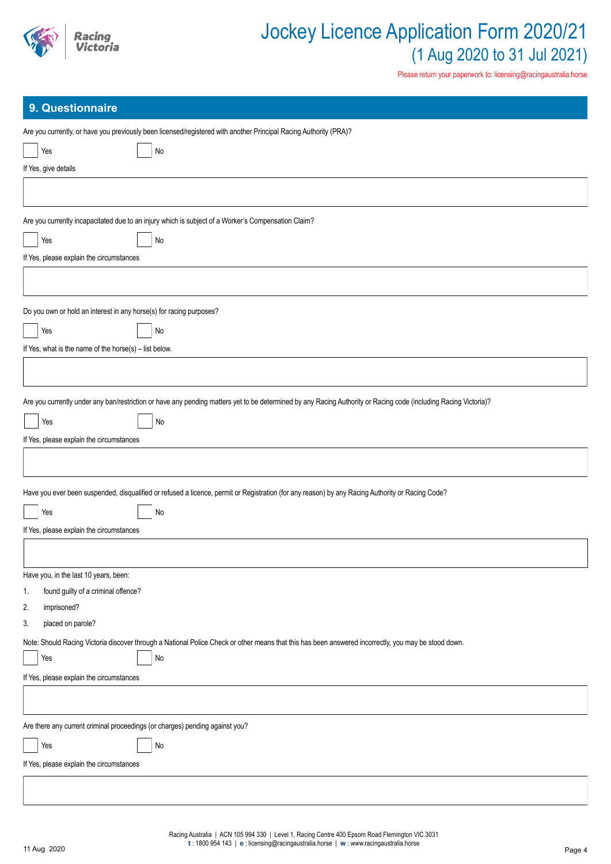

# **9. Questionnaire**

| Are you currently, or have you previously been licensed/registered with another Principal Racing Authority (PRA)?                                                |
|------------------------------------------------------------------------------------------------------------------------------------------------------------------|
| Yes<br>$\operatorname{\mathsf{No}}$                                                                                                                              |
| If Yes, give details                                                                                                                                             |
|                                                                                                                                                                  |
| Are you currently incapacitated due to an injury which is subject of a Worker's Compensation Claim?                                                              |
| Yes<br>$\mathsf{No}$                                                                                                                                             |
| If Yes, please explain the circumstances                                                                                                                         |
|                                                                                                                                                                  |
| Do you own or hold an interest in any horse(s) for racing purposes?                                                                                              |
| Yes<br>No                                                                                                                                                        |
| If Yes, what is the name of the horse(s) - list below.                                                                                                           |
|                                                                                                                                                                  |
|                                                                                                                                                                  |
| Are you currently under any ban/restriction or have any pending matters yet to be determined by any Racing Authority or Racing code (including Racing Victoria)? |
| No<br>Yes                                                                                                                                                        |
| If Yes, please explain the circumstances                                                                                                                         |
|                                                                                                                                                                  |
| Have you ever been suspended, disqualified or refused a licence, permit or Registration (for any reason) by any Racing Authority or Racing Code?                 |
| Yes<br>No                                                                                                                                                        |
| If Yes, please explain the circumstances                                                                                                                         |
|                                                                                                                                                                  |
| Have you, in the last 10 years, been:                                                                                                                            |
| found guilty of a criminal offence?<br>1.                                                                                                                        |
| 2.<br>imprisoned?                                                                                                                                                |
| placed on parole?<br>3.                                                                                                                                          |
| Note: Should Racing Victoria discover through a National Police Check or other means that this has been answered incorrectly, you may be stood down.             |
| $\operatorname{\mathsf{No}}$<br>Yes                                                                                                                              |
| If Yes, please explain the circumstances                                                                                                                         |
|                                                                                                                                                                  |
| Are there any current criminal proceedings (or charges) pending against you?                                                                                     |
| Yes<br>No                                                                                                                                                        |
| If Yes, please explain the circumstances                                                                                                                         |
|                                                                                                                                                                  |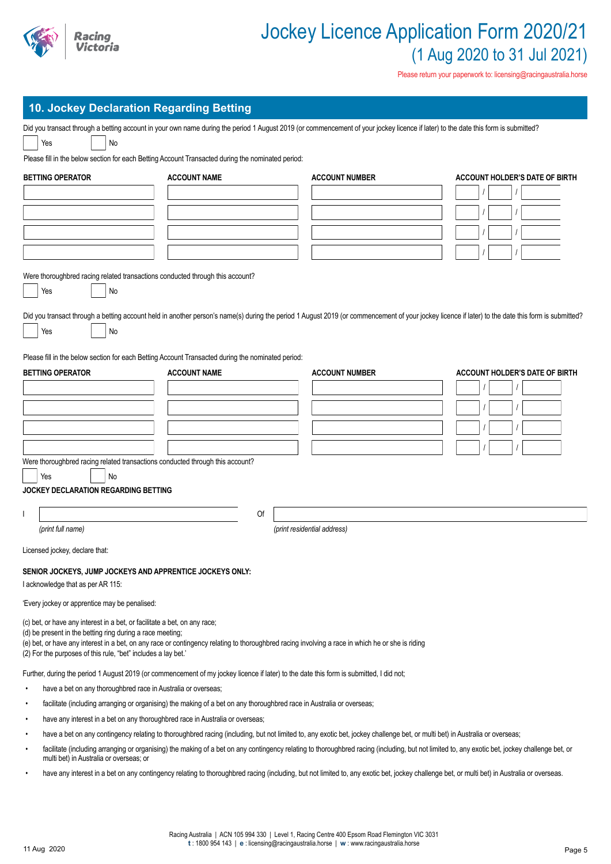

| 10. Jockey Declaration Regarding Betting |  |  |  |
|------------------------------------------|--|--|--|
|                                          |  |  |  |
|                                          |  |  |  |

| <b>10. JOCKEY DECIATATION REGATATIVE DETAILS</b>                                                                                       |                                                                                                                                                  |                                                                                                                                                                                                   |                                       |
|----------------------------------------------------------------------------------------------------------------------------------------|--------------------------------------------------------------------------------------------------------------------------------------------------|---------------------------------------------------------------------------------------------------------------------------------------------------------------------------------------------------|---------------------------------------|
|                                                                                                                                        |                                                                                                                                                  | Did you transact through a betting account in your own name during the period 1 August 2019 (or commencement of your jockey licence if later) to the date this form is submitted?                 |                                       |
| Yes<br>No                                                                                                                              |                                                                                                                                                  |                                                                                                                                                                                                   |                                       |
|                                                                                                                                        | Please fill in the below section for each Betting Account Transacted during the nominated period:                                                |                                                                                                                                                                                                   |                                       |
| <b>BETTING OPERATOR</b>                                                                                                                | <b>ACCOUNT NAME</b>                                                                                                                              | <b>ACCOUNT NUMBER</b>                                                                                                                                                                             | <b>ACCOUNT HOLDER'S DATE OF BIRTH</b> |
|                                                                                                                                        |                                                                                                                                                  |                                                                                                                                                                                                   |                                       |
|                                                                                                                                        |                                                                                                                                                  |                                                                                                                                                                                                   |                                       |
|                                                                                                                                        |                                                                                                                                                  |                                                                                                                                                                                                   |                                       |
|                                                                                                                                        |                                                                                                                                                  |                                                                                                                                                                                                   |                                       |
|                                                                                                                                        |                                                                                                                                                  |                                                                                                                                                                                                   |                                       |
|                                                                                                                                        |                                                                                                                                                  |                                                                                                                                                                                                   |                                       |
| Were thoroughbred racing related transactions conducted through this account?                                                          |                                                                                                                                                  |                                                                                                                                                                                                   |                                       |
| Yes<br>No                                                                                                                              |                                                                                                                                                  |                                                                                                                                                                                                   |                                       |
|                                                                                                                                        |                                                                                                                                                  | Did you transact through a betting account held in another person's name(s) during the period 1 August 2019 (or commencement of your jockey licence if later) to the date this form is submitted? |                                       |
| No<br>Yes                                                                                                                              |                                                                                                                                                  |                                                                                                                                                                                                   |                                       |
|                                                                                                                                        |                                                                                                                                                  |                                                                                                                                                                                                   |                                       |
|                                                                                                                                        | Please fill in the below section for each Betting Account Transacted during the nominated period:                                                |                                                                                                                                                                                                   |                                       |
| <b>BETTING OPERATOR</b>                                                                                                                | <b>ACCOUNT NAME</b>                                                                                                                              | <b>ACCOUNT NUMBER</b>                                                                                                                                                                             | <b>ACCOUNT HOLDER'S DATE OF BIRTH</b> |
|                                                                                                                                        |                                                                                                                                                  |                                                                                                                                                                                                   |                                       |
|                                                                                                                                        |                                                                                                                                                  |                                                                                                                                                                                                   |                                       |
|                                                                                                                                        |                                                                                                                                                  |                                                                                                                                                                                                   |                                       |
|                                                                                                                                        |                                                                                                                                                  |                                                                                                                                                                                                   |                                       |
|                                                                                                                                        |                                                                                                                                                  |                                                                                                                                                                                                   |                                       |
| Were thoroughbred racing related transactions conducted through this account?                                                          |                                                                                                                                                  |                                                                                                                                                                                                   |                                       |
| No<br>Yes                                                                                                                              |                                                                                                                                                  |                                                                                                                                                                                                   |                                       |
| JOCKEY DECLARATION REGARDING BETTING                                                                                                   |                                                                                                                                                  |                                                                                                                                                                                                   |                                       |
|                                                                                                                                        |                                                                                                                                                  |                                                                                                                                                                                                   |                                       |
|                                                                                                                                        | Of                                                                                                                                               |                                                                                                                                                                                                   |                                       |
| (print full name)                                                                                                                      |                                                                                                                                                  | (print residential address)                                                                                                                                                                       |                                       |
| Licensed jockey, declare that:                                                                                                         |                                                                                                                                                  |                                                                                                                                                                                                   |                                       |
| SENIOR JOCKEYS, JUMP JOCKEYS AND APPRENTICE JOCKEYS ONLY:                                                                              |                                                                                                                                                  |                                                                                                                                                                                                   |                                       |
| I acknowledge that as per AR 115:                                                                                                      |                                                                                                                                                  |                                                                                                                                                                                                   |                                       |
| 'Every jockey or apprentice may be penalised:                                                                                          |                                                                                                                                                  |                                                                                                                                                                                                   |                                       |
|                                                                                                                                        |                                                                                                                                                  |                                                                                                                                                                                                   |                                       |
| (c) bet, or have any interest in a bet, or facilitate a bet, on any race;<br>(d) be present in the betting ring during a race meeting; |                                                                                                                                                  |                                                                                                                                                                                                   |                                       |
|                                                                                                                                        | (e) bet, or have any interest in a bet, on any race or contingency relating to thoroughbred racing involving a race in which he or she is riding |                                                                                                                                                                                                   |                                       |
| (2) For the purposes of this rule, "bet" includes a lay bet.'                                                                          |                                                                                                                                                  |                                                                                                                                                                                                   |                                       |
|                                                                                                                                        | Further, during the period 1 August 2019 (or commencement of my jockey licence if later) to the date this form is submitted, I did not;          |                                                                                                                                                                                                   |                                       |
| have a bet on any thoroughbred race in Australia or overseas;                                                                          |                                                                                                                                                  |                                                                                                                                                                                                   |                                       |
|                                                                                                                                        | facilitate (including arranging or organising) the making of a bet on any thoroughbred race in Australia or overseas;                            |                                                                                                                                                                                                   |                                       |
| have any interest in a bet on any thoroughbred race in Australia or overseas;                                                          |                                                                                                                                                  |                                                                                                                                                                                                   |                                       |
|                                                                                                                                        |                                                                                                                                                  | have a bet on any contingency relating to thoroughbred racing (including, but not limited to, any exotic bet, jockey challenge bet, or multi bet) in Australia or overseas;                       |                                       |
| multi bet) in Australia or overseas; or                                                                                                |                                                                                                                                                  | facilitate (including arranging or organising) the making of a bet on any contingency relating to thoroughbred racing (including, but not limited to, any exotic bet, jockey challenge bet, or    |                                       |
|                                                                                                                                        |                                                                                                                                                  | have any interest in a bet on any contingency relating to thoroughbred racing (including, but not limited to, any exotic bet, jockey challenge bet, or multi bet) in Australia or overseas.       |                                       |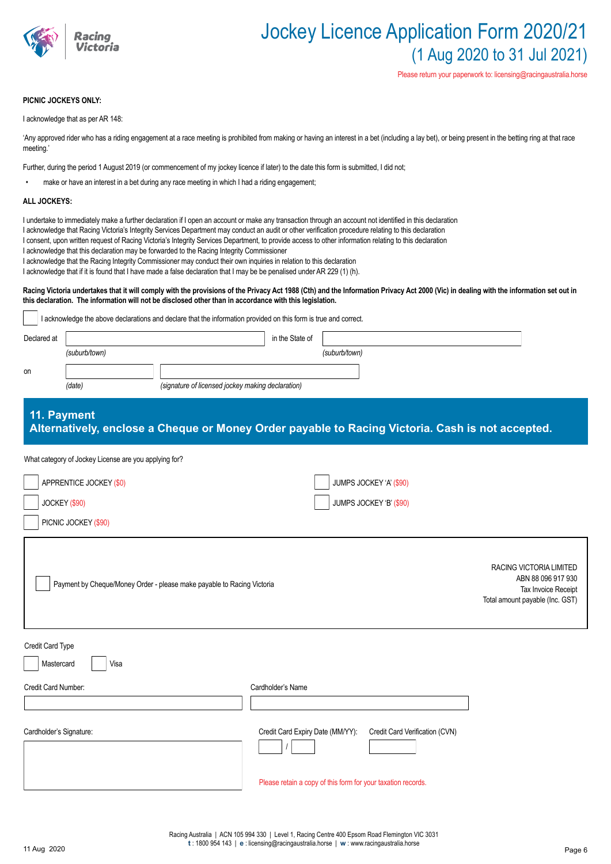

### **PICNIC JOCKEYS ONLY:**

I acknowledge that as per AR 148:

'Any approved rider who has a riding engagement at a race meeting is prohibited from making or having an interest in a bet (including a lay bet), or being present in the betting ring at that race meeting.'

Further, during the period 1 August 2019 (or commencement of my jockey licence if later) to the date this form is submitted, I did not;

make or have an interest in a bet during any race meeting in which I had a riding engagement;

#### **ALL JOCKEYS:**

- I undertake to immediately make a further declaration if I open an account or make any transaction through an account not identified in this declaration
- I acknowledge that Racing Victoria's Integrity Services Department may conduct an audit or other verification procedure relating to this declaration
- I consent, upon written request of Racing Victoria's Integrity Services Department, to provide access to other information relating to this declaration
- I acknowledge that this declaration may be forwarded to the Racing Integrity Commissioner
- I acknowledge that the Racing Integrity Commissioner may conduct their own inquiries in relation to this declaration
- I acknowledge that if it is found that I have made a false declaration that I may be be penalised under AR 229 (1) (h).

*(date) (signature of licensed jockey making declaration)*

#### Racing Victoria undertakes that it will comply with the provisions of the Privacy Act 1988 (Cth) and the Information Privacy Act 2000 (Vic) in dealing with the information set out in **this declaration. The information will not be disclosed other than in accordance with this legislation.**

| I acknowledge the above declarations and declare that the information provided on this form is true and correct. |               |                 |               |  |  |
|------------------------------------------------------------------------------------------------------------------|---------------|-----------------|---------------|--|--|
| Declared at                                                                                                      |               | in the State of |               |  |  |
|                                                                                                                  | (suburb/town) |                 | (suburb/town) |  |  |
|                                                                                                                  |               |                 |               |  |  |

on

# **11. Payment Alternatively, enclose a Cheque or Money Order payable to Racing Victoria. Cash is not accepted.**

#### What category of Jockey License are you applying for?

| APPRENTICE JOCKEY (\$0)<br>JOCKEY (\$90)                               | JUMPS JOCKEY 'A' (\$90)<br>JUMPS JOCKEY 'B' (\$90)                 |                                                                                                         |
|------------------------------------------------------------------------|--------------------------------------------------------------------|---------------------------------------------------------------------------------------------------------|
| PICNIC JOCKEY (\$90)                                                   |                                                                    |                                                                                                         |
| Payment by Cheque/Money Order - please make payable to Racing Victoria |                                                                    | RACING VICTORIA LIMITED<br>ABN 88 096 917 930<br>Tax Invoice Receipt<br>Total amount payable (Inc. GST) |
| Credit Card Type                                                       |                                                                    |                                                                                                         |
| Mastercard<br>Visa                                                     |                                                                    |                                                                                                         |
| Credit Card Number:                                                    | Cardholder's Name                                                  |                                                                                                         |
|                                                                        |                                                                    |                                                                                                         |
| Cardholder's Signature:                                                | Credit Card Verification (CVN)<br>Credit Card Expiry Date (MM/YY): |                                                                                                         |
|                                                                        | Please retain a copy of this form for your taxation records.       |                                                                                                         |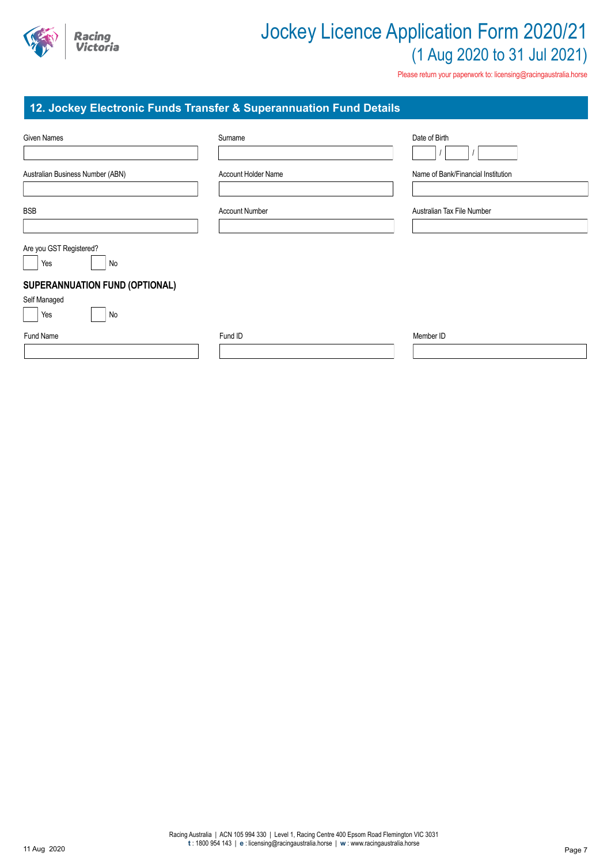

Please return your paperwork to: licensing@racingaustralia.horse

# **12. Jockey Electronic Funds Transfer & Superannuation Fund Details**

| Given Names                                 | Surname                    | Date of Birth                      |
|---------------------------------------------|----------------------------|------------------------------------|
| Australian Business Number (ABN)            | <b>Account Holder Name</b> | Name of Bank/Financial Institution |
| <b>BSB</b>                                  | <b>Account Number</b>      | Australian Tax File Number         |
| Are you GST Registered?                     |                            |                                    |
| Yes<br>No<br>SUPERANNUATION FUND (OPTIONAL) |                            |                                    |
| Self Managed<br>No<br>Yes                   |                            |                                    |
| Fund Name                                   | Fund ID                    | Member ID                          |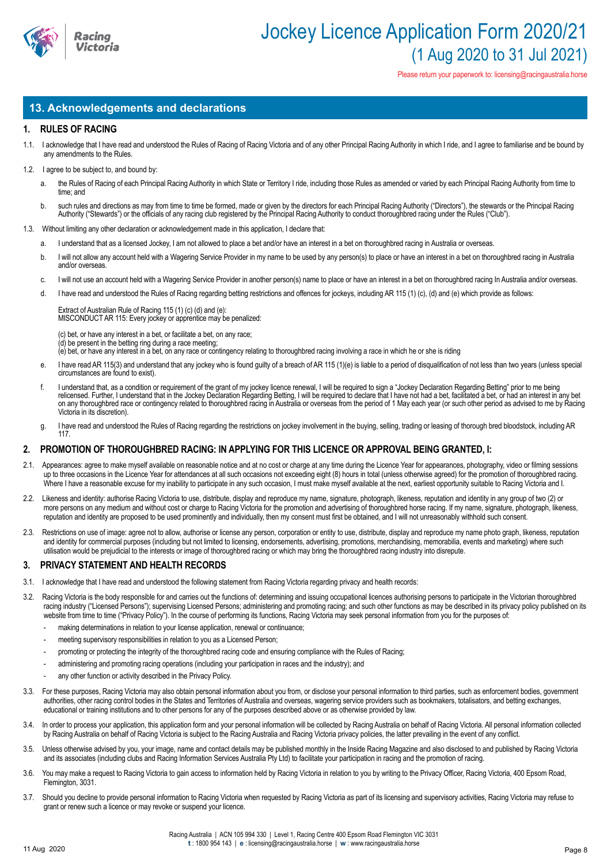

# **13. Acknowledgements and declarations**

# **1. RULES OF RACING**

1.1. I acknowledge that I have read and understood the Rules of Racing of Racing Victoria and of any other Principal Racing Authority in which I ride, and I agree to familiarise and be bound by any amendments to the Rules.

#### 1.2. I agree to be subject to, and bound by:

- a. the Rules of Racing of each Principal Racing Authority in which State or Territory I ride, including those Rules as amended or varied by each Principal Racing Authority from time to time; and
- b. such rules and directions as may from time to time be formed, made or given by the directors for each Principal Racing Authority ("Directors"), the stewards or the Principal Racing Authority ("Stewards") or the officials of any racing club registered by the Principal Racing Authority to conduct thoroughbred racing under the Rules ("Club").
- 1.3. Without limiting any other declaration or acknowledgement made in this application, I declare that:
	- a. I understand that as a licensed Jockey, I am not allowed to place a bet and/or have an interest in a bet on thoroughbred racing in Australia or overseas.
	- b. I will not allow any account held with a Wagering Service Provider in my name to be used by any person(s) to place or have an interest in a bet on thoroughbred racing in Australia and/or overseas.
	- c. I will not use an account held with a Wagering Service Provider in another person(s) name to place or have an interest in a bet on thoroughbred racing In Australia and/or overseas.
	- d. I have read and understood the Rules of Racing regarding betting restrictions and offences for jockeys, including AR 115 (1) (c), (d) and (e) which provide as follows:

Extract of Australian Rule of Racing 115 (1) (c) (d) and (e): MISCONDUCT AR 115: Every jockey or apprentice may be penalized:

(c) bet, or have any interest in a bet, or facilitate a bet, on any race;

(d) be present in the betting ring during a race meeting;

(e) bet, or have any interest in a bet, on any race or contingency relating to thoroughbred racing involving a race in which he or she is riding

- I have read AR 115(3) and understand that any jockey who is found guilty of a breach of AR 115 (1)(e) is liable to a period of disqualification of not less than two years (unless special circumstances are found to exist).
- f. I understand that, as a condition or requirement of the grant of my jockey licence renewal, I will be required to sign a "Jockey Declaration Regarding Betting" prior to me being relicensed. Further, I understand that in the Jockey Declaration Regarding Betting, I will be required to declare that I have not had a bet, facilitated a bet, or had an interest in any bet on any thoroughbred race or contingency related to thoroughbred racing in Australia or overseas from the period of 1 May each year (or such other period as advised to me by Racing Victoria in its discretion).
- g. I have read and understood the Rules of Racing regarding the restrictions on jockey involvement in the buying, selling, trading or leasing of thorough bred bloodstock, including AR 117.

### **2. PROMOTION OF THOROUGHBRED RACING: IN APPLYING FOR THIS LICENCE OR APPROVAL BEING GRANTED, I:**

- 2.1. Appearances: agree to make myself available on reasonable notice and at no cost or charge at any time during the Licence Year for appearances, photography, video or filming sessions up to three occasions in the Licence Year for attendances at all such occasions not exceeding eight (8) hours in total (unless otherwise agreed) for the promotion of thoroughbred racing. Where I have a reasonable excuse for my inability to participate in any such occasion, I must make myself available at the next, earliest opportunity suitable to Racing Victoria and I.
- 2.2. Likeness and identity: authorise Racing Victoria to use, distribute, display and reproduce my name, signature, photograph, likeness, reputation and identity in any group of two (2) or more persons on any medium and without cost or charge to Racing Victoria for the promotion and advertising of thoroughbred horse racing. If my name, signature, photograph, likeness, reputation and identity are proposed to be used prominently and individually, then my consent must first be obtained, and I will not unreasonably withhold such consent.
- 2.3. Restrictions on use of image: agree not to allow, authorise or license any person, corporation or entity to use, distribute, display and reproduce my name photo graph, likeness, reputation and identity for commercial purposes (including but not limited to licensing, endorsements, advertising, promotions, merchandising, memorabilia, events and marketing) where such utilisation would be prejudicial to the interests or image of thoroughbred racing or which may bring the thoroughbred racing industry into disrepute.

### **3. PRIVACY STATEMENT AND HEALTH RECORDS**

- 3.1. I acknowledge that I have read and understood the following statement from Racing Victoria regarding privacy and health records:
- 3.2. Racing Victoria is the body responsible for and carries out the functions of: determining and issuing occupational licences authorising persons to participate in the Victorian thoroughbred racing industry ("Licensed Persons"); supervising Licensed Persons; administering and promoting racing; and such other functions as may be described in its privacy policy published on its website from time to time ("Privacy Policy"). In the course of performing its functions, Racing Victoria may seek personal information from you for the purposes of:
	- making determinations in relation to your license application, renewal or continuance;
	- meeting supervisory responsibilities in relation to you as a Licensed Person;
	- promoting or protecting the integrity of the thoroughbred racing code and ensuring compliance with the Rules of Racing;
	- administering and promoting racing operations (including your participation in races and the industry); and
	- any other function or activity described in the Privacy Policy.
- 3.3. For these purposes, Racing Victoria may also obtain personal information about you from, or disclose your personal information to third parties, such as enforcement bodies, government authorities, other racing control bodies in the States and Territories of Australia and overseas, wagering service providers such as bookmakers, totalisators, and betting exchanges, educational or training institutions and to other persons for any of the purposes described above or as otherwise provided by law.
- 3.4. In order to process your application, this application form and your personal information will be collected by Racing Australia on behalf of Racing Victoria. All personal information collected by Racing Australia on behalf of Racing Victoria is subject to the Racing Australia and Racing Victoria privacy policies, the latter prevailing in the event of any conflict.
- 3.5. Unless otherwise advised by you, your image, name and contact details may be published monthly in the Inside Racing Magazine and also disclosed to and published by Racing Victoria and its associates (including clubs and Racing Information Services Australia Pty Ltd) to facilitate your participation in racing and the promotion of racing.
- 3.6. You may make a request to Racing Victoria to gain access to information held by Racing Victoria in relation to you by writing to the Privacy Officer, Racing Victoria, 400 Epsom Road, Flemington, 3031.
- 3.7. Should you decline to provide personal information to Racing Victoria when requested by Racing Victoria as part of its licensing and supervisory activities, Racing Victoria may refuse to grant or renew such a licence or may revoke or suspend your licence.